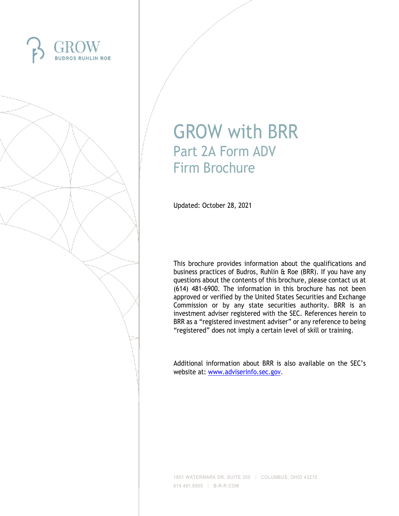



# GROW with BRR Part 2A Form ADV Firm Brochure

Updated: October 28, 2021

This brochure provides information about the qualifications and business practices of Budros, Ruhlin & Roe (BRR). If you have any questions about the contents of this brochure, please contact us at (614) 481-6900. The information in this brochure has not been approved or verified by the United States Securities and Exchange Commission or by any state securities authority. BRR is an investment adviser registered with the SEC. References herein to BRR as a "registered investment adviser" or any reference to being "registered" does not imply a certain level of skill or training.

Additional information about BRR is also available on the SEC's website at: [www.adviserinfo.sec.gov.](http://www.adviserinfo.sec.gov/)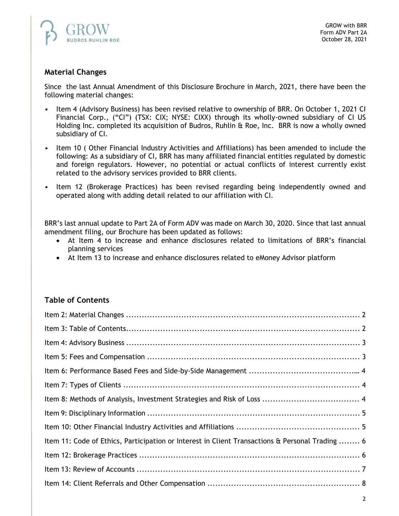

# **Material Changes**

Since the last Annual Amendment of this Disclosure Brochure in March, 2021, there have been the following material changes:

- Item 4 (Advisory Business) has been revised relative to ownership of BRR. On October 1, 2021 CI Financial Corp., ("CI") (TSX: CIX; NYSE: CIXX) through its wholly-owned subsidiary of CI US Holding Inc. completed its acquisition of Budros, Ruhlin & Roe, Inc. BRR is now a wholly owned subsidiary of CI.
- Item 10 ( Other Financial Industry Activities and Affiliations) has been amended to include the following: As a subsidiary of CI, BRR has many affiliated financial entities regulated by domestic and foreign regulators. However, no potential or actual conflicts of interest currently exist related to the advisory services provided to BRR clients.
- Item 12 (Brokerage Practices) has been revised regarding being independently owned and operated along with adding detail related to our affiliation with CI.

BRR's last annual update to Part 2A of Form ADV was made on March 30, 2020. Since that last annual amendment filing, our Brochure has been updated as follows:

- At Item 4 to increase and enhance disclosures related to limitations of BRR's financial planning services
- At Item 13 to increase and enhance disclosures related to eMoney Advisor platform

## **Table of Contents**

| Item 11: Code of Ethics, Participation or Interest in Client Transactions & Personal Trading  6 |  |
|-------------------------------------------------------------------------------------------------|--|
|                                                                                                 |  |
|                                                                                                 |  |
|                                                                                                 |  |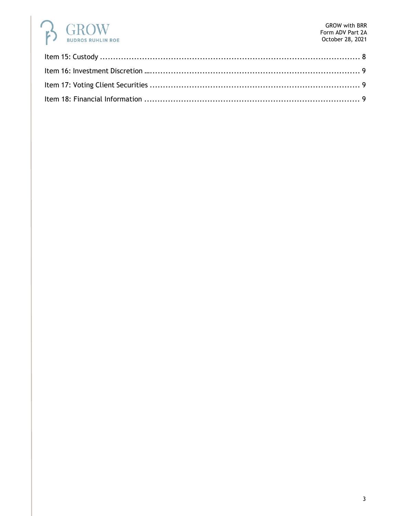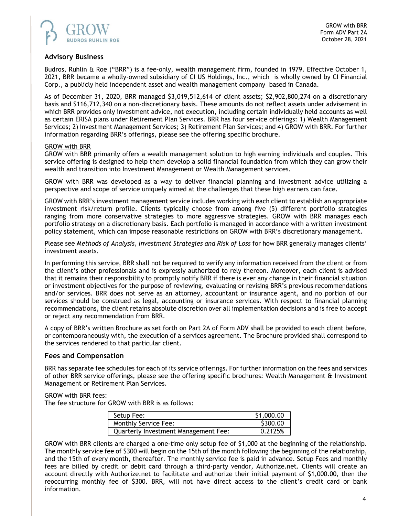

## **Advisory Business**

Budros, Ruhlin & Roe ("BRR") is a fee-only, wealth management firm, founded in 1979. Effective October 1, 2021, BRR became a wholly-owned subsidiary of CI US Holdings, Inc., which is wholly owned by CI Financial Corp., a publicly held independent asset and wealth management company based in Canada.

As of December 31, 2020, BRR managed \$3,019,512,614 of client assets; \$2,902,800,274 on a discretionary basis and \$116,712,340 on a non-discretionary basis. These amounts do not reflect assets under advisement in which BRR provides only investment advice, not execution, including certain individually held accounts as well as certain ERISA plans under Retirement Plan Services. BRR has four service offerings: 1) Wealth Management Services; 2) Investment Management Services; 3) Retirement Plan Services; and 4) GROW with BRR. For further information regarding BRR's offerings, please see the offering specific brochure.

## GROW with BRR

GROW with BRR primarily offers a wealth management solution to high earning individuals and couples. This service offering is designed to help them develop a solid financial foundation from which they can grow their wealth and transition into Investment Management or Wealth Management services.

GROW with BRR was developed as a way to deliver financial planning and investment advice utilizing a perspective and scope of service uniquely aimed at the challenges that these high earners can face.

GROW with BRR's investment management service includes working with each client to establish an appropriate investment risk/return profile. Clients typically choose from among five (5) different portfolio strategies ranging from more conservative strategies to more aggressive strategies. GROW with BRR manages each portfolio strategy on a discretionary basis. Each portfolio is managed in accordance with a written investment policy statement, which can impose reasonable restrictions on GROW with BRR's discretionary management.

Please see *Methods of Analysis, Investment Strategies and Risk of Loss* for how BRR generally manages clients' investment assets.

In performing this service, BRR shall not be required to verify any information received from the client or from the client's other professionals and is expressly authorized to rely thereon. Moreover, each client is advised that it remains their responsibility to promptly notify BRR if there is ever any change in their financial situation or investment objectives for the purpose of reviewing, evaluating or revising BRR's previous recommendations and/or services. BRR does not serve as an attorney, accountant or insurance agent, and no portion of our services should be construed as legal, accounting or insurance services. With respect to financial planning recommendations, the client retains absolute discretion over all implementation decisions and is free to accept or reject any recommendation from BRR.

A copy of BRR's written Brochure as set forth on Part 2A of Form ADV shall be provided to each client before, or contemporaneously with, the execution of a services agreement. The Brochure provided shall correspond to the services rendered to that particular client.

## **Fees and Compensation**

BRR has separate fee schedules for each of its service offerings. For further information on the fees and services of other BRR service offerings, please see the offering specific brochures: Wealth Management & Investment Management or Retirement Plan Services.

### GROW with BRR fees:

The fee structure for GROW with BRR is as follows:

| Setup Fee:                                  | \$1,000.00 |
|---------------------------------------------|------------|
| Monthly Service Fee:                        | \$300.00   |
| <b>Quarterly Investment Management Fee:</b> | 0.2125%    |

GROW with BRR clients are charged a one-time only setup fee of \$1,000 at the beginning of the relationship. The monthly service fee of \$300 will begin on the 15th of the month following the beginning of the relationship, and the 15th of every month, thereafter. The monthly service fee is paid in advance. Setup Fees and monthly fees are billed by credit or debit card through a third-party vendor, Authorize.net. Clients will create an account directly with Authorize.net to facilitate and authorize their initial payment of \$1,000.00, then the reoccurring monthly fee of \$300. BRR, will not have direct access to the client's credit card or bank information.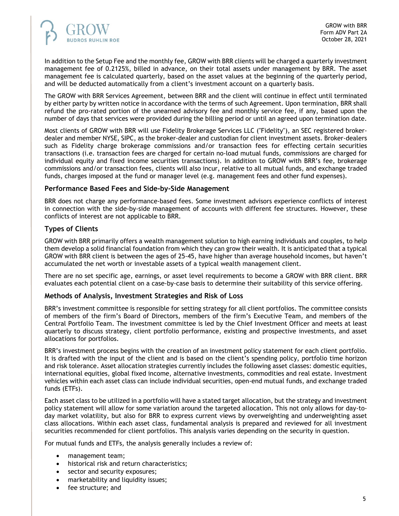

In addition to the Setup Fee and the monthly fee, GROW with BRR clients will be charged a quarterly investment management fee of 0.2125%, billed in advance, on their total assets under management by BRR. The asset management fee is calculated quarterly, based on the asset values at the beginning of the quarterly period, and will be deducted automatically from a client's investment account on a quarterly basis.

The GROW with BRR Services Agreement, between BRR and the client will continue in effect until terminated by either party by written notice in accordance with the terms of such Agreement. Upon termination, BRR shall refund the pro-rated portion of the unearned advisory fee and monthly service fee, if any, based upon the number of days that services were provided during the billing period or until an agreed upon termination date.

Most clients of GROW with BRR will use Fidelity Brokerage Services LLC ("Fidelity"), an SEC registered brokerdealer and member NYSE, SIPC, as the broker-dealer and custodian for client investment assets. Broker-dealers such as Fidelity charge brokerage commissions and/or transaction fees for effecting certain securities transactions (i.e. transaction fees are charged for certain no-load mutual funds, commissions are charged for individual equity and fixed income securities transactions). In addition to GROW with BRR's fee, brokerage commissions and/or transaction fees, clients will also incur, relative to all mutual funds, and exchange traded funds, charges imposed at the fund or manager level (e.g. management fees and other fund expenses).

## **Performance Based Fees and Side-by-Side Management**

BRR does not charge any performance-based fees. Some investment advisors experience conflicts of interest in connection with the side-by-side management of accounts with different fee structures. However, these conflicts of interest are not applicable to BRR.

## **Types of Clients**

GROW with BRR primarily offers a wealth management solution to high earning individuals and couples, to help them develop a solid financial foundation from which they can grow their wealth. It is anticipated that a typical GROW with BRR client is between the ages of 25-45, have higher than average household incomes, but haven't accumulated the net worth or investable assets of a typical wealth management client.

There are no set specific age, earnings, or asset level requirements to become a GROW with BRR client. BRR evaluates each potential client on a case-by-case basis to determine their suitability of this service offering.

## **Methods of Analysis, Investment Strategies and Risk of Loss**

BRR's investment committee is responsible for setting strategy for all client portfolios. The committee consists of members of the firm's Board of Directors, members of the firm's Executive Team, and members of the Central Portfolio Team. The investment committee is led by the Chief Investment Officer and meets at least quarterly to discuss strategy, client portfolio performance, existing and prospective investments, and asset allocations for portfolios.

BRR's investment process begins with the creation of an investment policy statement for each client portfolio. It is drafted with the input of the client and is based on the client's spending policy, portfolio time horizon and risk tolerance. Asset allocation strategies currently includes the following asset classes: domestic equities, international equities, global fixed income, alternative investments, commodities and real estate. Investment vehicles within each asset class can include individual securities, open-end mutual funds, and exchange traded funds (ETFs).

Each asset class to be utilized in a portfolio will have a stated target allocation, but the strategy and investment policy statement will allow for some variation around the targeted allocation. This not only allows for day-today market volatility, but also for BRR to express current views by overweighting and underweighting asset class allocations. Within each asset class, fundamental analysis is prepared and reviewed for all investment securities recommended for client portfolios. This analysis varies depending on the security in question.

For mutual funds and ETFs, the analysis generally includes a review of:

- management team;
- historical risk and return characteristics;
- sector and security exposures;
- marketability and liquidity issues;
- fee structure; and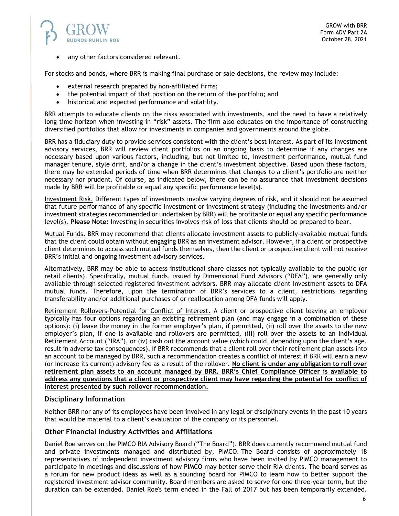

any other factors considered relevant.

For stocks and bonds, where BRR is making final purchase or sale decisions, the review may include:

- external research prepared by non-affiliated firms;
- the potential impact of that position on the return of the portfolio; and
- historical and expected performance and volatility.

BRR attempts to educate clients on the risks associated with investments, and the need to have a relatively long time horizon when investing in "risk" assets. The firm also educates on the importance of constructing diversified portfolios that allow for investments in companies and governments around the globe.

BRR has a fiduciary duty to provide services consistent with the client's best interest. As part of its investment advisory services, BRR will review client portfolios on an ongoing basis to determine if any changes are necessary based upon various factors, including, but not limited to, investment performance, mutual fund manager tenure, style drift, and/or a change in the client's investment objective. Based upon these factors, there may be extended periods of time when BRR determines that changes to a client's portfolio are neither necessary nor prudent. Of course, as indicated below, there can be no assurance that investment decisions made by BRR will be profitable or equal any specific performance level(s).

Investment Risk. Different types of investments involve varying degrees of risk, and it should not be assumed that future performance of any specific investment or investment strategy (including the investments and/or investment strategies recommended or undertaken by BRR) will be profitable or equal any specific performance level(s). **Please Note:** Investing in securities involves risk of loss that clients should be prepared to bear.

Mutual Funds. BRR may recommend that clients allocate investment assets to publicly-available mutual funds that the client could obtain without engaging BRR as an investment advisor. However, if a client or prospective client determines to access such mutual funds themselves, then the client or prospective client will not receive BRR's initial and ongoing investment advisory services.

Alternatively, BRR may be able to access institutional share classes not typically available to the public (or retail clients). Specifically, mutual funds, issued by Dimensional Fund Advisors ("DFA"), are generally only available through selected registered investment advisors. BRR may allocate client investment assets to DFA mutual funds. Therefore, upon the termination of BRR's services to a client, restrictions regarding transferability and/or additional purchases of or reallocation among DFA funds will apply.

Retirement Rollovers-Potential for Conflict of Interest. A client or prospective client leaving an employer typically has four options regarding an existing retirement plan (and may engage in a combination of these options): (i) leave the money in the former employer's plan, if permitted, (ii) roll over the assets to the new employer's plan, if one is available and rollovers are permitted, (iii) roll over the assets to an Individual Retirement Account ("IRA"), or (iv) cash out the account value (which could, depending upon the client's age, result in adverse tax consequences). If BRR recommends that a client roll over their retirement plan assets into an account to be managed by BRR, such a recommendation creates a conflict of interest if BRR will earn a new (or increase its current) advisory fee as a result of the rollover. **No client is under any obligation to roll over retirement plan assets to an account managed by BRR. BRR's Chief Compliance Officer is available to address any questions that a client or prospective client may have regarding the potential for conflict of interest presented by such rollover recommendation.**

### **Disciplinary Information**

Neither BRR nor any of its employees have been involved in any legal or disciplinary events in the past 10 years that would be material to a client's evaluation of the company or its personnel.

### **Other Financial Industry Activities and Affiliations**

Daniel Roe serves on the PIMCO RIA Advisory Board ("The Board"). BRR does currently recommend mutual fund and private investments managed and distributed by, PIMCO. The Board consists of approximately 18 representatives of independent investment advisory firms who have been invited by PIMCO management to participate in meetings and discussions of how PIMCO may better serve their RIA clients. The board serves as a forum for new product ideas as well as a sounding board for PIMCO to learn how to better support the registered investment advisor community. Board members are asked to serve for one three-year term, but the duration can be extended. Daniel Roe's term ended in the Fall of 2017 but has been temporarily extended.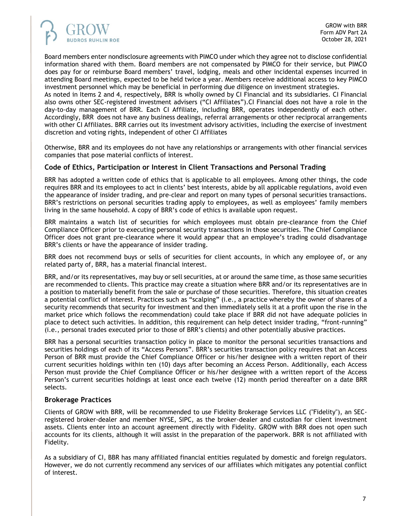

Board members enter nondisclosure agreements with PIMCO under which they agree not to disclose confidential information shared with them. Board members are not compensated by PIMCO for their service, but PIMCO does pay for or reimburse Board members' travel, lodging, meals and other incidental expenses incurred in attending Board meetings, expected to be held twice a year. Members receive additional access to key PIMCO investment personnel which may be beneficial in performing due diligence on investment strategies.

As noted in Items 2 and 4, respectively, BRR is wholly owned by CI Financial and its subsidiaries. CI Financial also owns other SEC-registered investment advisers ("CI Affiliates").CI Financial does not have a role in the day-to-day management of BRR. Each CI Affiliate, including BRR, operates independently of each other. Accordingly, BRR does not have any business dealings, referral arrangements or other reciprocal arrangements with other CI Affiliates. BRR carries out its investment advisory activities, including the exercise of investment discretion and voting rights, independent of other CI Affiliates

Otherwise, BRR and its employees do not have any relationships or arrangements with other financial services companies that pose material conflicts of interest.

## **Code of Ethics, Participation or Interest in Client Transactions and Personal Trading**

BRR has adopted a written code of ethics that is applicable to all employees. Among other things, the code requires BRR and its employees to act in clients' best interests, abide by all applicable regulations, avoid even the appearance of insider trading, and pre-clear and report on many types of personal securities transactions. BRR's restrictions on personal securities trading apply to employees, as well as employees' family members living in the same household. A copy of BRR's code of ethics is available upon request.

BRR maintains a watch list of securities for which employees must obtain pre-clearance from the Chief Compliance Officer prior to executing personal security transactions in those securities. The Chief Compliance Officer does not grant pre-clearance where it would appear that an employee's trading could disadvantage BRR's clients or have the appearance of insider trading.

BRR does not recommend buys or sells of securities for client accounts, in which any employee of, or any related party of, BRR, has a material financial interest.

BRR, and/or its representatives, may buy or sell securities, at or around the same time, as those same securities are recommended to clients. This practice may create a situation where BRR and/or its representatives are in a position to materially benefit from the sale or purchase of those securities. Therefore, this situation creates a potential conflict of interest. Practices such as "scalping" (i.e., a practice whereby the owner of shares of a security recommends that security for investment and then immediately sells it at a profit upon the rise in the market price which follows the recommendation) could take place if BRR did not have adequate policies in place to detect such activities. In addition, this requirement can help detect insider trading, "front-running" (i.e., personal trades executed prior to those of BRR's clients) and other potentially abusive practices.

BRR has a personal securities transaction policy in place to monitor the personal securities transactions and securities holdings of each of its "Access Persons". BRR's securities transaction policy requires that an Access Person of BRR must provide the Chief Compliance Officer or his/her designee with a written report of their current securities holdings within ten (10) days after becoming an Access Person. Additionally, each Access Person must provide the Chief Compliance Officer or his/her designee with a written report of the Access Person's current securities holdings at least once each twelve (12) month period thereafter on a date BRR selects.

## **Brokerage Practices**

Clients of GROW with BRR, will be recommended to use Fidelity Brokerage Services LLC ("Fidelity"), an SECregistered broker-dealer and member NYSE, SIPC, as the broker-dealer and custodian for client investment assets. Clients enter into an account agreement directly with Fidelity. GROW with BRR does not open such accounts for its clients, although it will assist in the preparation of the paperwork. BRR is not affiliated with Fidelity.

As a subsidiary of CI, BBR has many affiliated financial entities regulated by domestic and foreign regulators. However, we do not currently recommend any services of our affiliates which mitigates any potential conflict of interest.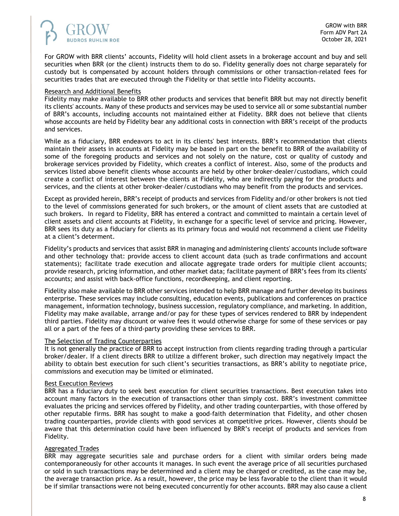

For GROW with BRR clients' accounts, Fidelity will hold client assets in a brokerage account and buy and sell securities when BRR (or the client) instructs them to do so. Fidelity generally does not charge separately for custody but is compensated by account holders through commissions or other transaction-related fees for securities trades that are executed through the Fidelity or that settle into Fidelity accounts.

#### Research and Additional Benefits

Fidelity may make available to BRR other products and services that benefit BRR but may not directly benefit its clients' accounts. Many of these products and services may be used to service all or some substantial number of BRR's accounts, including accounts not maintained either at Fidelity. BRR does not believe that clients whose accounts are held by Fidelity bear any additional costs in connection with BRR's receipt of the products and services.

While as a fiduciary, BRR endeavors to act in its clients' best interests. BRR's recommendation that clients maintain their assets in accounts at Fidelity may be based in part on the benefit to BRR of the availability of some of the foregoing products and services and not solely on the nature, cost or quality of custody and brokerage services provided by Fidelity, which creates a conflict of interest. Also, some of the products and services listed above benefit clients whose accounts are held by other broker-dealer/custodians, which could create a conflict of interest between the clients at Fidelity, who are indirectly paying for the products and services, and the clients at other broker-dealer/custodians who may benefit from the products and services.

Except as provided herein, BRR's receipt of products and services from Fidelity and/or other brokers is not tied to the level of commissions generated for such brokers, or the amount of client assets that are custodied at such brokers. In regard to Fidelity, BRR has entered a contract and committed to maintain a certain level of client assets and client accounts at Fidelity, in exchange for a specific level of service and pricing. However, BRR sees its duty as a fiduciary for clients as its primary focus and would not recommend a client use Fidelity at a client's determent.

Fidelity's products and services that assist BRR in managing and administering clients' accounts include software and other technology that: provide access to client account data (such as trade confirmations and account statements); facilitate trade execution and allocate aggregate trade orders for multiple client accounts; provide research, pricing information, and other market data; facilitate payment of BRR's fees from its clients' accounts; and assist with back-office functions, recordkeeping, and client reporting.

Fidelity also make available to BRR other services intended to help BRR manage and further develop its business enterprise. These services may include consulting, education events, publications and conferences on practice management, information technology, business succession, regulatory compliance, and marketing. In addition, Fidelity may make available, arrange and/or pay for these types of services rendered to BRR by independent third parties. Fidelity may discount or waive fees it would otherwise charge for some of these services or pay all or a part of the fees of a third-party providing these services to BRR.

### The Selection of Trading Counterparties

It is not generally the practice of BRR to accept instruction from clients regarding trading through a particular broker/dealer. If a client directs BRR to utilize a different broker, such direction may negatively impact the ability to obtain best execution for such client's securities transactions, as BRR's ability to negotiate price, commissions and execution may be limited or eliminated.

#### Best Execution Reviews

BRR has a fiduciary duty to seek best execution for client securities transactions. Best execution takes into account many factors in the execution of transactions other than simply cost. BRR's investment committee evaluates the pricing and services offered by Fidelity, and other trading counterparties, with those offered by other reputable firms. BRR has sought to make a good-faith determination that Fidelity, and other chosen trading counterparties, provide clients with good services at competitive prices. However, clients should be aware that this determination could have been influenced by BRR's receipt of products and services from Fidelity.

### Aggregated Trades

BRR may aggregate securities sale and purchase orders for a client with similar orders being made contemporaneously for other accounts it manages. In such event the average price of all securities purchased or sold in such transactions may be determined and a client may be charged or credited, as the case may be, the average transaction price. As a result, however, the price may be less favorable to the client than it would be if similar transactions were not being executed concurrently for other accounts. BRR may also cause a client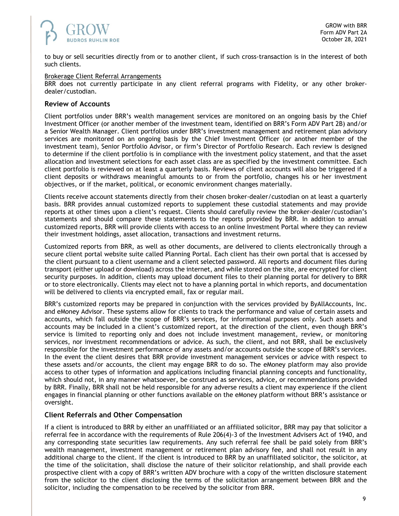

to buy or sell securities directly from or to another client, if such cross-transaction is in the interest of both such clients.

#### Brokerage Client Referral Arrangements

BRR does not currently participate in any client referral programs with Fidelity, or any other brokerdealer/custodian.

## **Review of Accounts**

Client portfolios under BRR's wealth management services are monitored on an ongoing basis by the Chief Investment Officer (or another member of the investment team, identified on BRR's Form ADV Part 2B) and/or a Senior Wealth Manager. Client portfolios under BRR's investment management and retirement plan advisory services are monitored on an ongoing basis by the Chief Investment Officer (or another member of the investment team), Senior Portfolio Advisor, or firm's Director of Portfolio Research. Each review is designed to determine if the client portfolio is in compliance with the investment policy statement, and that the asset allocation and investment selections for each asset class are as specified by the investment committee. Each client portfolio is reviewed on at least a quarterly basis. Reviews of client accounts will also be triggered if a client deposits or withdraws meaningful amounts to or from the portfolio, changes his or her investment objectives, or if the market, political, or economic environment changes materially.

Clients receive account statements directly from their chosen broker-dealer/custodian on at least a quarterly basis. BRR provides annual customized reports to supplement these custodial statements and may provide reports at other times upon a client's request. Clients should carefully review the broker-dealer/custodian's statements and should compare these statements to the reports provided by BRR. In addition to annual customized reports, BRR will provide clients with access to an online Investment Portal where they can review their investment holdings, asset allocation, transactions and investment returns.

Customized reports from BRR, as well as other documents, are delivered to clients electronically through a secure client portal website suite called Planning Portal. Each client has their own portal that is accessed by the client pursuant to a client username and a client selected password. All reports and document files during transport (either upload or download) across the internet, and while stored on the site, are encrypted for client security purposes. In addition, clients may upload document files to their planning portal for delivery to BRR or to store electronically. Clients may elect not to have a planning portal in which reports, and documentation will be delivered to clients via encrypted email, fax or regular mail.

BRR's customized reports may be prepared in conjunction with the services provided by ByAllAccounts, Inc. and eMoney Advisor. These systems allow for clients to track the performance and value of certain assets and accounts, which fall outside the scope of BRR's services, for informational purposes only. Such assets and accounts may be included in a client's customized report, at the direction of the client, even though BRR's service is limited to reporting only and does not include investment management, review, or monitoring services, nor investment recommendations or advice. As such, the client, and not BRR, shall be exclusively responsible for the investment performance of any assets and/or accounts outside the scope of BRR's services. In the event the client desires that BRR provide investment management services or advice with respect to these assets and/or accounts, the client may engage BRR to do so. The eMoney platform may also provide access to other types of information and applications including financial planning concepts and functionality, which should not, in any manner whatsoever, be construed as services, advice, or recommendations provided by BRR. Finally, BRR shall not be held responsible for any adverse results a client may experience if the client engages in financial planning or other functions available on the eMoney platform without BRR's assistance or oversight.

### **Client Referrals and Other Compensation**

If a client is introduced to BRR by either an unaffiliated or an affiliated solicitor, BRR may pay that solicitor a referral fee in accordance with the requirements of Rule 206(4)-3 of the Investment Advisers Act of 1940, and any corresponding state securities law requirements. Any such referral fee shall be paid solely from BRR's wealth management, investment management or retirement plan advisory fee, and shall not result in any additional charge to the client. If the client is introduced to BRR by an unaffiliated solicitor, the solicitor, at the time of the solicitation, shall disclose the nature of their solicitor relationship, and shall provide each prospective client with a copy of BRR's written ADV brochure with a copy of the written disclosure statement from the solicitor to the client disclosing the terms of the solicitation arrangement between BRR and the solicitor, including the compensation to be received by the solicitor from BRR.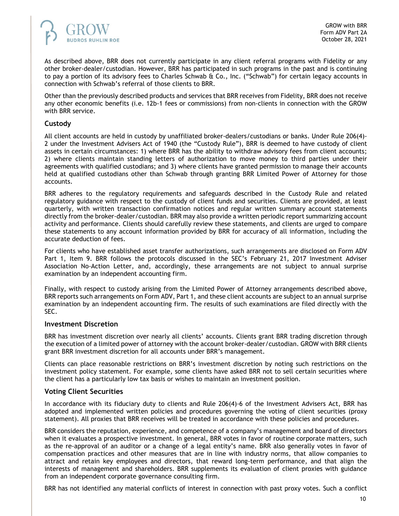

As described above, BRR does not currently participate in any client referral programs with Fidelity or any other broker-dealer/custodian. However, BRR has participated in such programs in the past and is continuing to pay a portion of its advisory fees to Charles Schwab  $\hat{\alpha}$  Co., Inc. ("Schwab") for certain legacy accounts in connection with Schwab's referral of those clients to BRR.

Other than the previously described products and services that BRR receives from Fidelity, BRR does not receive any other economic benefits (i.e. 12b-1 fees or commissions) from non-clients in connection with the GROW with BRR service.

## **Custody**

All client accounts are held in custody by unaffiliated broker-dealers/custodians or banks. Under Rule 206(4)- 2 under the Investment Advisers Act of 1940 (the "Custody Rule"), BRR is deemed to have custody of client assets in certain circumstances: 1) where BRR has the ability to withdraw advisory fees from client accounts; 2) where clients maintain standing letters of authorization to move money to third parties under their agreements with qualified custodians; and 3) where clients have granted permission to manage their accounts held at qualified custodians other than Schwab through granting BRR Limited Power of Attorney for those accounts.

BRR adheres to the regulatory requirements and safeguards described in the Custody Rule and related regulatory guidance with respect to the custody of client funds and securities. Clients are provided, at least quarterly, with written transaction confirmation notices and regular written summary account statements directly from the broker-dealer/custodian. BRR may also provide a written periodic report summarizing account activity and performance. Clients should carefully review these statements, and clients are urged to compare these statements to any account information provided by BRR for accuracy of all information, including the accurate deduction of fees.

For clients who have established asset transfer authorizations, such arrangements are disclosed on Form ADV Part 1, Item 9. BRR follows the protocols discussed in the SEC's February 21, 2017 Investment Adviser Association No-Action Letter, and, accordingly, these arrangements are not subject to annual surprise examination by an independent accounting firm.

Finally, with respect to custody arising from the Limited Power of Attorney arrangements described above, BRR reports such arrangements on Form ADV, Part 1, and these client accounts are subject to an annual surprise examination by an independent accounting firm. The results of such examinations are filed directly with the SEC.

## **Investment Discretion**

BRR has investment discretion over nearly all clients' accounts. Clients grant BRR trading discretion through the execution of a limited power of attorney with the account broker-dealer/custodian. GROW with BRR clients grant BRR investment discretion for all accounts under BRR's management.

Clients can place reasonable restrictions on BRR's investment discretion by noting such restrictions on the investment policy statement. For example, some clients have asked BRR not to sell certain securities where the client has a particularly low tax basis or wishes to maintain an investment position.

### **Voting Client Securities**

In accordance with its fiduciary duty to clients and Rule 206(4)-6 of the Investment Advisers Act, BRR has adopted and implemented written policies and procedures governing the voting of client securities (proxy statement). All proxies that BRR receives will be treated in accordance with these policies and procedures.

BRR considers the reputation, experience, and competence of a company's management and board of directors when it evaluates a prospective investment. In general, BRR votes in favor of routine corporate matters, such as the re-approval of an auditor or a change of a legal entity's name. BRR also generally votes in favor of compensation practices and other measures that are in line with industry norms, that allow companies to attract and retain key employees and directors, that reward long-term performance, and that align the interests of management and shareholders. BRR supplements its evaluation of client proxies with guidance from an independent corporate governance consulting firm.

BRR has not identified any material conflicts of interest in connection with past proxy votes. Such a conflict